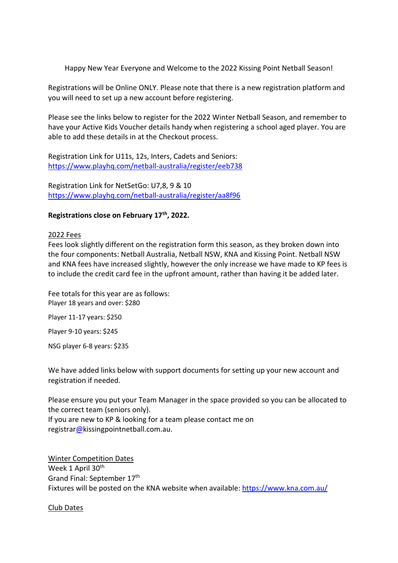Happy New Year Everyone and Welcome to the 2022 Kissing Point Netball Season!

Registrations will be Online ONLY. Please note that there is a new registration platform and you will need to set up a new account before registering.

Please see the links below to register for the 2022 Winter Netball Season, and remember to have your Active Kids Voucher details handy when registering a school aged player. You are able to add these details in at the Checkout process.

Registration Link for U11s, 12s, Inters, Cadets and Seniors: <https://www.playhq.com/netball-australia/register/eeb738>

Registration Link for NetSetGo: U7,8, 9 & 10 <https://www.playhq.com/netball-australia/register/aa8f96>

# **Registrations close on February 17th, 2022.**

## 2022 Fees

Fees look slightly different on the registration form this season, as they broken down into the four components: Netball Australia, Netball NSW, KNA and Kissing Point. Netball NSW and KNA fees have increased slightly, however the only increase we have made to KP fees is to include the credit card fee in the upfront amount, rather than having it be added later.

Fee totals for this year are as follows: Player 18 years and over: \$280

Player 11-17 years: \$250

Player 9-10 years: \$245

NSG player 6-8 years: \$235

We have added links below with support documents for setting up your new account and registration if needed.

Please ensure you put your Team Manager in the space provided so you can be allocated to the correct team (seniors only).

If you are new to KP & looking for a team please contact me on registra[r@k](mailto:tina@tritton.me)issingpointnetball.com.au.

Winter Competition Dates Week 1 April 30<sup>th</sup> Grand Final: September 17th Fixtures will be posted on the KNA website when available: <https://www.kna.com.au/>

Club Dates